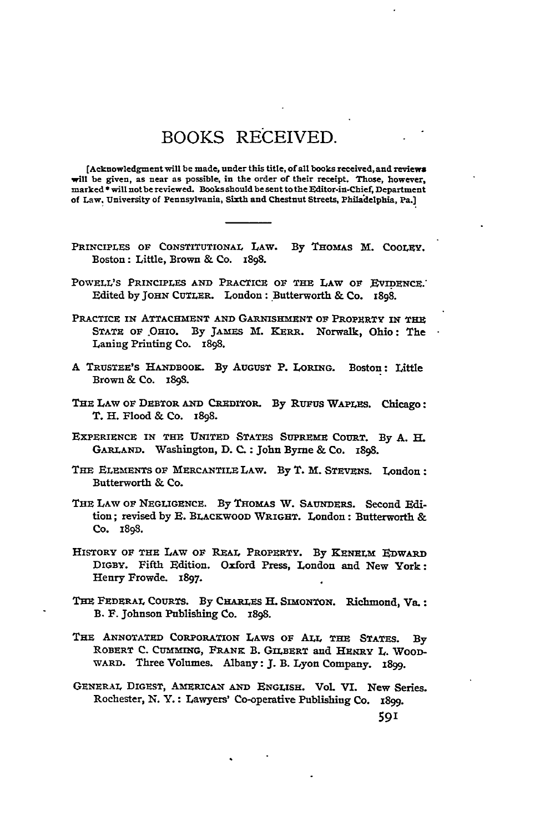## BOOKS RECEIVED.

[Acknowledgment will be made, under this title, of all books received, and reviews will be given, as near as possible, in the order of their receipt. Those, however, marked \* will not be reviewed. Books should be sent to the Editor-in-Chief, Department of Law. University of Pennsylvania, Sixth and Chestnut Streets, Philadelphia, Pa.]

- PRINCIPLES **OF CONSTITUTIONAL** LAW. **By** THOMAS M. COOLEY. Boston: Little, Brown & Co. **I898.**
- POWELL'S PRINCIPLES AND PRACTICE OF THE LAW OF EVIDENCE. Edited by JOHN CUTLER. London: Butterworth & Co. 1898.
- PRACTICE **ix ATTACHMENT** AND GARNISHMENT **OF** PROPERTY **IN** THE **STATE OF** .OHIO. **By JAMES** M. KERR. Norwalk, Ohio: The Laning Printing Co. 1898.
- **A** TRUSTEE'S **HANDBOOK. By AUGUST** P. LORING. Boston: Little Brown & Co. 1898.
- THE LAW OF DEBTOR AND CREDITOR. By RUFUS WAPLES. Chicago: T. H. Flood & Co. 1898.
- EXPERIENCE **IN THE UNITED STATES SUPIREME** COURT. **By A. H. GARLAND.** Washington, **D. C. :** John Byrne & Co. 1898.
- THE ELEMENTS **OF** MERCANTILE **LAW.** By **T.** M. **STEVENS.** London: Butterworth & Co.
- THE LAw **OF** NEGLIGENCE. **By** THOMAS W. SAUNDERS. Second **Fdi**tion; revised **by E.** BLACKWOOD WRIGHT. London: Butterworth & Co. **x898.**
- HISTORY **OF** THE LAW **OF** REAL PROPERTY. **By** KENELm EDWARD DiGBY. Fifth Edition. Oxford Press, London and New York: Henry Frowde. **1897.**
- THE FEDERAL **COURTS.** By **CHARLES** H. SIMONTON. Richmond, **Vs.:** B. **F.** Johnson Publishing Co. **I898.**
- THE ANNOTATED CORPORATION **LAWS** OF ALL **THE** STATES. **By** ROBERT **C.** CUMMING, FRANK B. GILBERT and HENRY L. WOOD-WARD. Three Volumes. Albany: **J.** B. Lyon Company. 1899.
- GENERAL DIGEST, AMERICAN **AND ENGLISH.** VOL VI. New Series. Rochester, **N.** Y. **:** Lawyers' Co-operative Publishing Co. **x899.**

**59'**